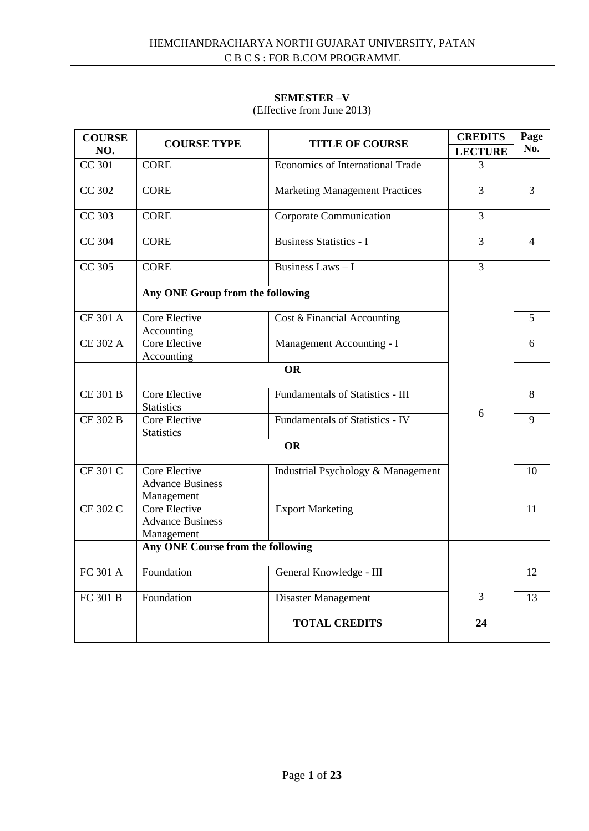## **SEMESTER –V**

# (Effective from June 2013)

| <b>COURSE</b><br>NO.  | <b>COURSE TYPE</b>                                     | <b>TITLE OF COURSE</b>                  | <b>CREDITS</b> | Page<br>No.    |
|-----------------------|--------------------------------------------------------|-----------------------------------------|----------------|----------------|
|                       |                                                        |                                         | <b>LECTURE</b> |                |
| <b>CC 301</b>         | <b>CORE</b>                                            | <b>Economics of International Trade</b> | 3              |                |
| <b>CC 302</b>         | <b>CORE</b>                                            | <b>Marketing Management Practices</b>   | $\overline{3}$ | $\overline{3}$ |
| CC 303                | <b>CORE</b>                                            | <b>Corporate Communication</b>          | 3              |                |
| CC 304                | <b>CORE</b>                                            | <b>Business Statistics - I</b>          | $\overline{3}$ | $\overline{4}$ |
| CC 305                | <b>CORE</b>                                            | Business Laws - I                       | 3              |                |
|                       | Any ONE Group from the following                       |                                         |                |                |
| <b>CE 301 A</b>       | Core Elective<br>Accounting                            | Cost & Financial Accounting             |                | 5              |
| <b>CE 302 A</b>       | Core Elective<br>Accounting                            | Management Accounting - I               |                | 6              |
|                       |                                                        | <b>OR</b>                               |                |                |
| <b>CE 301 B</b>       | Core Elective<br><b>Statistics</b>                     | Fundamentals of Statistics - III        |                | 8              |
| CE 302 B              | Core Elective<br><b>Statistics</b>                     | <b>Fundamentals of Statistics - IV</b>  | 6              | 9              |
|                       |                                                        | <b>OR</b>                               |                |                |
| <b>CE 301 C</b>       | Core Elective<br><b>Advance Business</b><br>Management | Industrial Psychology & Management      |                | 10             |
| <b>CE 302 C</b>       | Core Elective<br><b>Advance Business</b><br>Management | <b>Export Marketing</b>                 |                | 11             |
|                       | Any ONE Course from the following                      |                                         |                |                |
| $\overline{FC}$ 301 A | Foundation                                             | General Knowledge - III                 |                | 12             |
| <b>FC 301 B</b>       | Foundation                                             | Disaster Management                     | 3              | 13             |
|                       |                                                        | <b>TOTAL CREDITS</b>                    | 24             |                |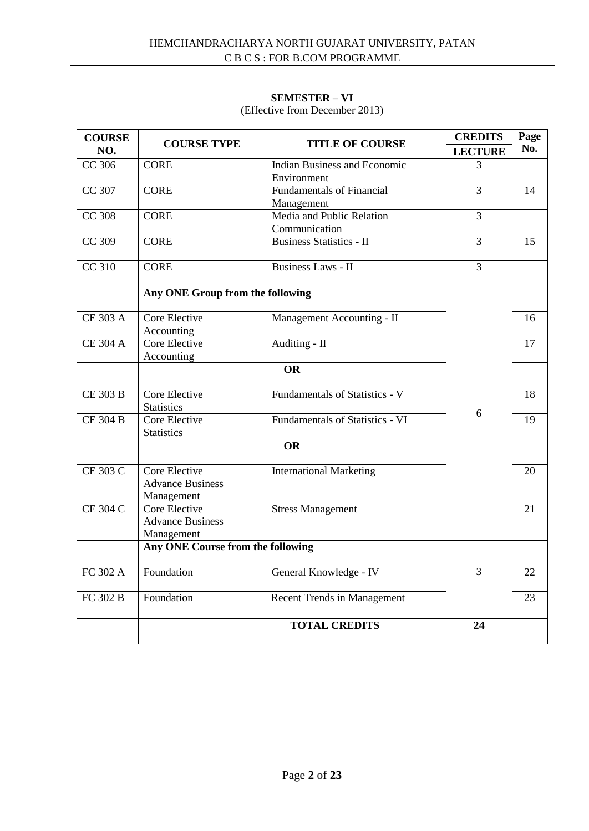# **SEMESTER – VI**

| <b>COURSE</b><br>NO. | <b>COURSE TYPE</b>                                     | <b>TITLE OF COURSE</b>                         | <b>CREDITS</b><br><b>LECTURE</b> | Page<br>No. |
|----------------------|--------------------------------------------------------|------------------------------------------------|----------------------------------|-------------|
| CC 306               | <b>CORE</b>                                            | Indian Business and Economic<br>Environment    | 3                                |             |
| CC 307               | <b>CORE</b>                                            | <b>Fundamentals of Financial</b><br>Management | 3                                | 14          |
| <b>CC 308</b>        | <b>CORE</b>                                            | Media and Public Relation<br>Communication     | 3                                |             |
| CC 309               | <b>CORE</b>                                            | <b>Business Statistics - II</b>                | 3                                | 15          |
| <b>CC 310</b>        | <b>CORE</b>                                            | <b>Business Laws - II</b>                      | 3                                |             |
|                      | Any ONE Group from the following                       |                                                |                                  |             |
| <b>CE 303 A</b>      | Core Elective<br>Accounting                            | Management Accounting - II                     |                                  | 16          |
| <b>CE 304 A</b>      | Core Elective<br>Accounting                            | Auditing - II                                  |                                  | 17          |
|                      |                                                        | <b>OR</b>                                      |                                  |             |
| <b>CE 303 B</b>      | Core Elective<br><b>Statistics</b>                     | Fundamentals of Statistics - V                 | 6                                | 18          |
| <b>CE 304 B</b>      | Core Elective<br><b>Statistics</b>                     | <b>Fundamentals of Statistics - VI</b>         |                                  | 19          |
|                      |                                                        | <b>OR</b>                                      |                                  |             |
| <b>CE 303 C</b>      | Core Elective<br><b>Advance Business</b><br>Management | <b>International Marketing</b>                 |                                  | 20          |
| <b>CE 304 C</b>      | Core Elective<br><b>Advance Business</b><br>Management | <b>Stress Management</b>                       |                                  | 21          |
|                      | Any ONE Course from the following                      |                                                |                                  |             |
| FC 302 A             | Foundation                                             | General Knowledge - IV                         | 3                                | 22          |
| FC 302 B             | Foundation                                             | <b>Recent Trends in Management</b>             |                                  | 23          |
|                      |                                                        | <b>TOTAL CREDITS</b>                           | 24                               |             |

(Effective from December 2013)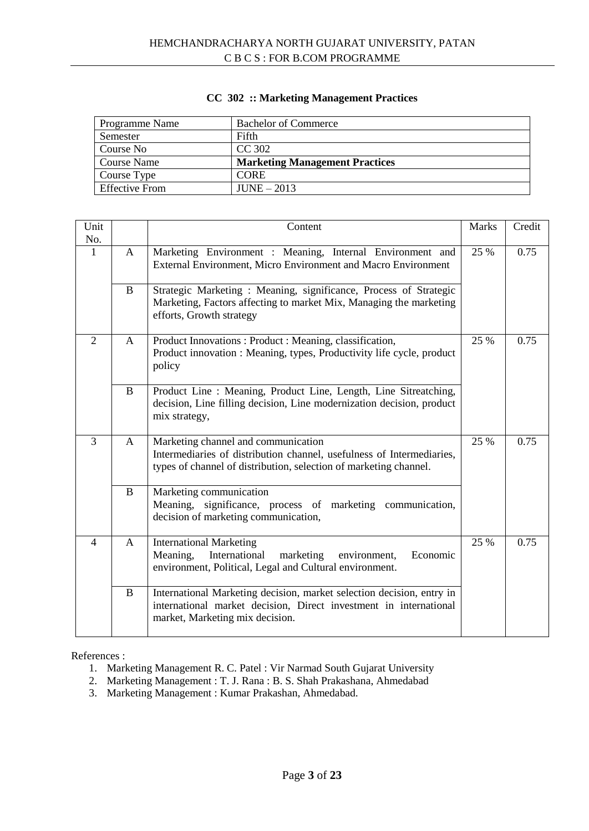| Programme Name        | <b>Bachelor of Commerce</b>           |
|-----------------------|---------------------------------------|
| Semester              | Fifth                                 |
| Course No             | CC 302                                |
| Course Name           | <b>Marketing Management Practices</b> |
| Course Type           | <b>CORE</b>                           |
| <b>Effective From</b> | $JUNE - 2013$                         |

# **CC 302 :: Marketing Management Practices**

| Unit<br>No.    |              | Content                                                                                                                                                                           | <b>Marks</b> | Credit |
|----------------|--------------|-----------------------------------------------------------------------------------------------------------------------------------------------------------------------------------|--------------|--------|
| $\mathbf{1}$   | A            | Marketing Environment : Meaning, Internal Environment and<br>External Environment, Micro Environment and Macro Environment                                                        | 25 %         | 0.75   |
|                | $\mathbf{B}$ | Strategic Marketing: Meaning, significance, Process of Strategic<br>Marketing, Factors affecting to market Mix, Managing the marketing<br>efforts, Growth strategy                |              |        |
| $\overline{2}$ | $\mathsf{A}$ | Product Innovations: Product: Meaning, classification,<br>Product innovation : Meaning, types, Productivity life cycle, product<br>policy                                         | 25 %         | 0.75   |
|                | $\mathbf B$  | Product Line: Meaning, Product Line, Length, Line Sitreatching,<br>decision, Line filling decision, Line modernization decision, product<br>mix strategy,                         |              |        |
| $\overline{3}$ | $\mathsf{A}$ | Marketing channel and communication<br>Intermediaries of distribution channel, usefulness of Intermediaries,<br>types of channel of distribution, selection of marketing channel. | 25 %         | 0.75   |
|                | B            | Marketing communication<br>Meaning, significance, process of marketing communication,<br>decision of marketing communication,                                                     |              |        |
| $\overline{4}$ | A            | <b>International Marketing</b><br>International<br>Meaning,<br>marketing<br>Economic<br>environment,<br>environment, Political, Legal and Cultural environment.                   | 25 %         | 0.75   |
|                | <sub>B</sub> | International Marketing decision, market selection decision, entry in<br>international market decision, Direct investment in international<br>market, Marketing mix decision.     |              |        |

- 1. Marketing Management R. C. Patel : Vir Narmad South Gujarat University
- 2. Marketing Management : T. J. Rana : B. S. Shah Prakashana, Ahmedabad
- 3. Marketing Management : Kumar Prakashan, Ahmedabad.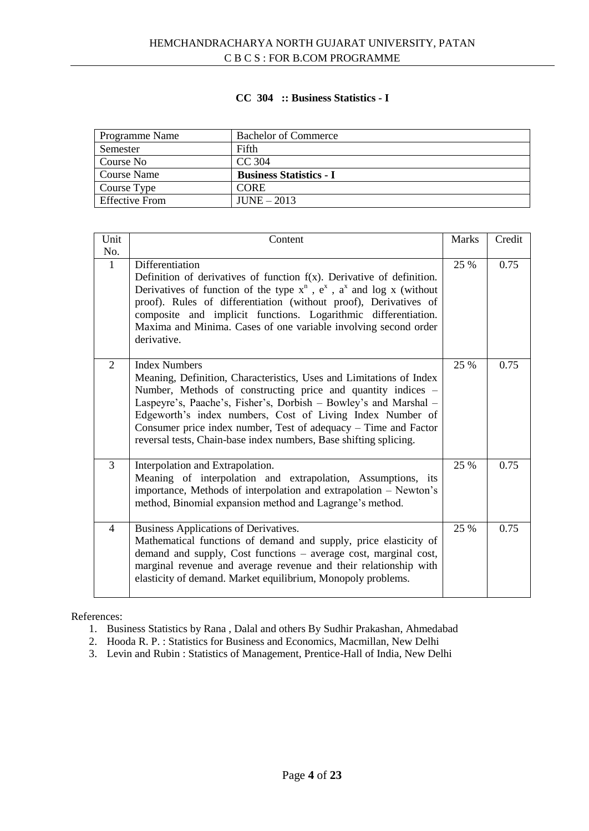# **CC 304 :: Business Statistics - I**

| Programme Name        | <b>Bachelor of Commerce</b>    |
|-----------------------|--------------------------------|
| Semester              | Fifth                          |
| Course No             | CC 304                         |
| <b>Course Name</b>    | <b>Business Statistics - I</b> |
| Course Type           | <b>CORE</b>                    |
| <b>Effective From</b> | $JUNE - 2013$                  |

| Unit<br>No.    | Content                                                                                                                                                                                                                                                                                                                                                                                                                              | <b>Marks</b> | Credit |
|----------------|--------------------------------------------------------------------------------------------------------------------------------------------------------------------------------------------------------------------------------------------------------------------------------------------------------------------------------------------------------------------------------------------------------------------------------------|--------------|--------|
| $\mathbf{1}$   | Differentiation<br>Definition of derivatives of function $f(x)$ . Derivative of definition.<br>Derivatives of function of the type $x^n$ , $e^x$ , $a^x$ and log x (without<br>proof). Rules of differentiation (without proof), Derivatives of<br>composite and implicit functions. Logarithmic differentiation.<br>Maxima and Minima. Cases of one variable involving second order<br>derivative.                                  | 25 %         | 0.75   |
| 2              | <b>Index Numbers</b><br>Meaning, Definition, Characteristics, Uses and Limitations of Index<br>Number, Methods of constructing price and quantity indices -<br>Laspeyre's, Paache's, Fisher's, Dorbish - Bowley's and Marshal -<br>Edgeworth's index numbers, Cost of Living Index Number of<br>Consumer price index number, Test of adequacy – Time and Factor<br>reversal tests, Chain-base index numbers, Base shifting splicing. | 25 %         | 0.75   |
| $\overline{3}$ | Interpolation and Extrapolation.<br>Meaning of interpolation and extrapolation, Assumptions, its<br>importance, Methods of interpolation and extrapolation - Newton's<br>method, Binomial expansion method and Lagrange's method.                                                                                                                                                                                                    | 25 %         | 0.75   |
| $\overline{4}$ | Business Applications of Derivatives.<br>Mathematical functions of demand and supply, price elasticity of<br>demand and supply, Cost functions – average cost, marginal cost,<br>marginal revenue and average revenue and their relationship with<br>elasticity of demand. Market equilibrium, Monopoly problems.                                                                                                                    | 25 %         | 0.75   |

- 1. Business Statistics by Rana , Dalal and others By Sudhir Prakashan, Ahmedabad
- 2. Hooda R. P. : Statistics for Business and Economics, Macmillan, New Delhi
- 3. Levin and Rubin : Statistics of Management, Prentice-Hall of India, New Delhi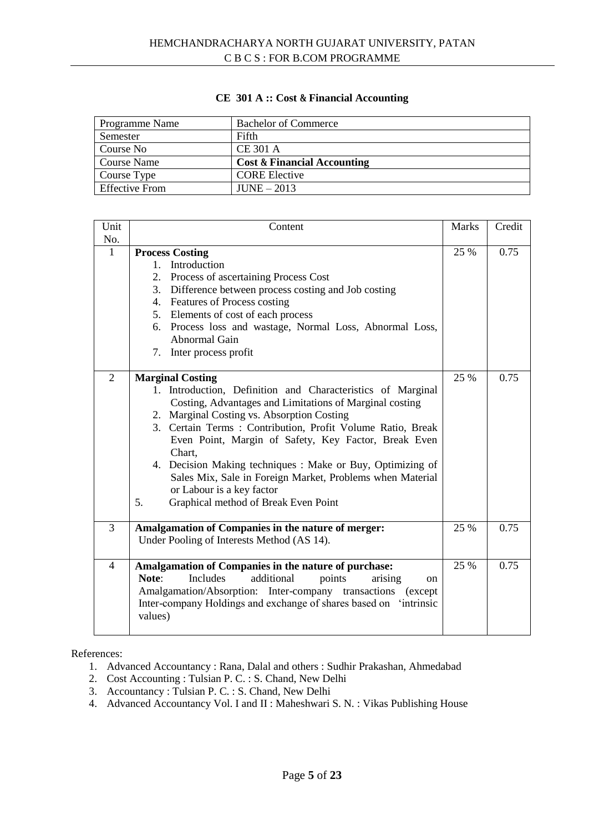| Programme Name        | <b>Bachelor of Commerce</b>            |
|-----------------------|----------------------------------------|
| Semester              | Fifth                                  |
| Course No             | <b>CE 301 A</b>                        |
| Course Name           | <b>Cost &amp; Financial Accounting</b> |
| Course Type           | <b>CORE Elective</b>                   |
| <b>Effective From</b> | $JUNE - 2013$                          |

## **CE 301 A :: Cost & Financial Accounting**

| Unit           | Content                                                                                                                                                                                                                                                                                                                                                                                                                                                                                                                               | <b>Marks</b> | Credit |
|----------------|---------------------------------------------------------------------------------------------------------------------------------------------------------------------------------------------------------------------------------------------------------------------------------------------------------------------------------------------------------------------------------------------------------------------------------------------------------------------------------------------------------------------------------------|--------------|--------|
| No.            |                                                                                                                                                                                                                                                                                                                                                                                                                                                                                                                                       |              |        |
| $\mathbf{1}$   | <b>Process Costing</b><br>1. Introduction<br>2. Process of ascertaining Process Cost<br>3. Difference between process costing and Job costing<br>4. Features of Process costing<br>5. Elements of cost of each process<br>6. Process loss and wastage, Normal Loss, Abnormal Loss,<br>Abnormal Gain<br>7. Inter process profit                                                                                                                                                                                                        | 25 %         | 0.75   |
| $\overline{2}$ | <b>Marginal Costing</b><br>1. Introduction, Definition and Characteristics of Marginal<br>Costing, Advantages and Limitations of Marginal costing<br>2. Marginal Costing vs. Absorption Costing<br>3. Certain Terms: Contribution, Profit Volume Ratio, Break<br>Even Point, Margin of Safety, Key Factor, Break Even<br>Chart,<br>4. Decision Making techniques : Make or Buy, Optimizing of<br>Sales Mix, Sale in Foreign Market, Problems when Material<br>or Labour is a key factor<br>Graphical method of Break Even Point<br>5. | 25 %         | 0.75   |
| 3              | Amalgamation of Companies in the nature of merger:<br>Under Pooling of Interests Method (AS 14).                                                                                                                                                                                                                                                                                                                                                                                                                                      | 25 %         | 0.75   |
| $\overline{4}$ | Amalgamation of Companies in the nature of purchase:<br>Note:<br>Includes<br>additional<br>points<br>arising<br>on<br>Amalgamation/Absorption: Inter-company transactions (except<br>Inter-company Holdings and exchange of shares based on 'intrinsic<br>values)                                                                                                                                                                                                                                                                     | 25 %         | 0.75   |

- 1. Advanced Accountancy : Rana, Dalal and others : Sudhir Prakashan, Ahmedabad
- 2. Cost Accounting : Tulsian P. C. : S. Chand, New Delhi
- 3. Accountancy : Tulsian P. C. : S. Chand, New Delhi
- 4. Advanced Accountancy Vol. I and II : Maheshwari S. N. : Vikas Publishing House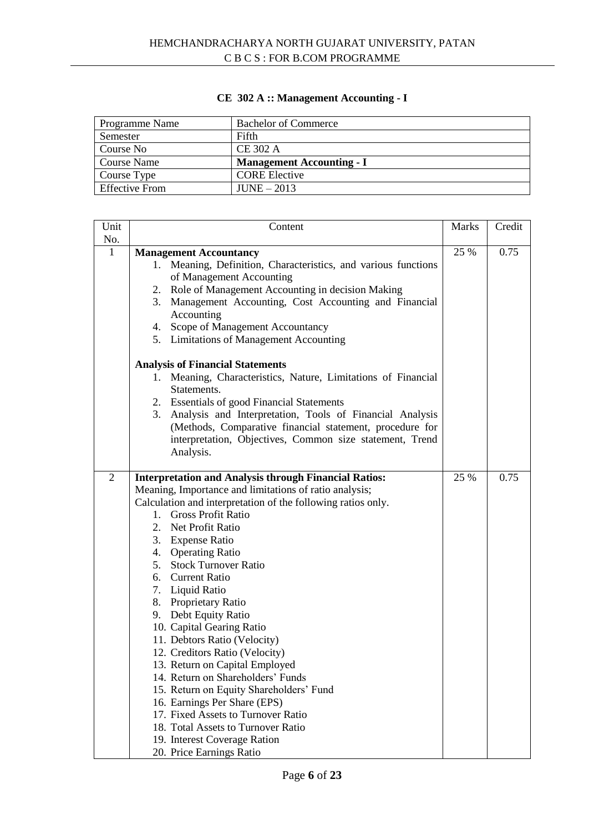# **CE 302 A :: Management Accounting - I**

| Programme Name        | <b>Bachelor of Commerce</b>      |
|-----------------------|----------------------------------|
| Semester              | Fifth                            |
| Course No             | CE 302 A                         |
| Course Name           | <b>Management Accounting - I</b> |
| Course Type           | <b>CORE</b> Elective             |
| <b>Effective From</b> | $JUNE - 2013$                    |

| Unit           | Content                                                          | <b>Marks</b> | Credit |
|----------------|------------------------------------------------------------------|--------------|--------|
| No.            |                                                                  |              |        |
| $\mathbf{1}$   | <b>Management Accountancy</b>                                    | 25 %         | 0.75   |
|                | 1. Meaning, Definition, Characteristics, and various functions   |              |        |
|                | of Management Accounting                                         |              |        |
|                | 2. Role of Management Accounting in decision Making              |              |        |
|                | 3. Management Accounting, Cost Accounting and Financial          |              |        |
|                | Accounting                                                       |              |        |
|                | 4. Scope of Management Accountancy                               |              |        |
|                | 5. Limitations of Management Accounting                          |              |        |
|                | <b>Analysis of Financial Statements</b>                          |              |        |
|                | Meaning, Characteristics, Nature, Limitations of Financial<br>1. |              |        |
|                | Statements.                                                      |              |        |
|                | 2. Essentials of good Financial Statements                       |              |        |
|                | 3. Analysis and Interpretation, Tools of Financial Analysis      |              |        |
|                | (Methods, Comparative financial statement, procedure for         |              |        |
|                | interpretation, Objectives, Common size statement, Trend         |              |        |
|                | Analysis.                                                        |              |        |
|                |                                                                  |              |        |
| $\overline{2}$ | <b>Interpretation and Analysis through Financial Ratios:</b>     | 25 %         | 0.75   |
|                | Meaning, Importance and limitations of ratio analysis;           |              |        |
|                | Calculation and interpretation of the following ratios only.     |              |        |
|                | <b>Gross Profit Ratio</b><br>$1_{-}$                             |              |        |
|                | 2. Net Profit Ratio                                              |              |        |
|                | 3. Expense Ratio                                                 |              |        |
|                | 4. Operating Ratio                                               |              |        |
|                | 5. Stock Turnover Ratio                                          |              |        |
|                | 6. Current Ratio                                                 |              |        |
|                | 7. Liquid Ratio                                                  |              |        |
|                | 8. Proprietary Ratio                                             |              |        |
|                | 9. Debt Equity Ratio                                             |              |        |
|                | 10. Capital Gearing Ratio                                        |              |        |
|                | 11. Debtors Ratio (Velocity)                                     |              |        |
|                | 12. Creditors Ratio (Velocity)                                   |              |        |
|                | 13. Return on Capital Employed                                   |              |        |
|                | 14. Return on Shareholders' Funds                                |              |        |
|                | 15. Return on Equity Shareholders' Fund                          |              |        |
|                | 16. Earnings Per Share (EPS)                                     |              |        |
|                | 17. Fixed Assets to Turnover Ratio                               |              |        |
|                | 18. Total Assets to Turnover Ratio                               |              |        |
|                | 19. Interest Coverage Ration                                     |              |        |
|                | 20. Price Earnings Ratio                                         |              |        |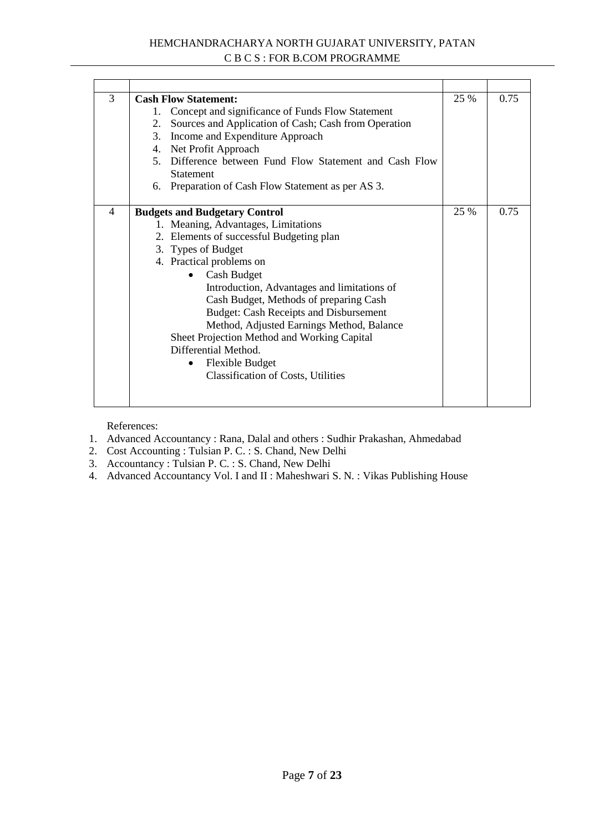# HEMCHANDRACHARYA NORTH GUJARAT UNIVERSITY, PATAN C B C S : FOR B.COM PROGRAMME

| 3                        | <b>Cash Flow Statement:</b>                             | 25 % | 0.75 |
|--------------------------|---------------------------------------------------------|------|------|
|                          | Concept and significance of Funds Flow Statement<br>1.  |      |      |
|                          | 2. Sources and Application of Cash; Cash from Operation |      |      |
|                          | 3. Income and Expenditure Approach                      |      |      |
|                          | 4. Net Profit Approach                                  |      |      |
|                          | 5. Difference between Fund Flow Statement and Cash Flow |      |      |
|                          | <b>Statement</b>                                        |      |      |
|                          | 6. Preparation of Cash Flow Statement as per AS 3.      |      |      |
|                          |                                                         |      |      |
| $\overline{\mathcal{A}}$ | <b>Budgets and Budgetary Control</b>                    | 25 % | 0.75 |
|                          | 1. Meaning, Advantages, Limitations                     |      |      |
|                          | 2. Elements of successful Budgeting plan                |      |      |
|                          | 3. Types of Budget                                      |      |      |
|                          | 4. Practical problems on                                |      |      |
|                          | <b>Cash Budget</b>                                      |      |      |
|                          | Introduction, Advantages and limitations of             |      |      |
|                          | Cash Budget, Methods of preparing Cash                  |      |      |
|                          | <b>Budget: Cash Receipts and Disbursement</b>           |      |      |
|                          | Method, Adjusted Earnings Method, Balance               |      |      |
|                          | Sheet Projection Method and Working Capital             |      |      |
|                          | Differential Method.                                    |      |      |
|                          | <b>Flexible Budget</b>                                  |      |      |
|                          | <b>Classification of Costs, Utilities</b>               |      |      |
|                          |                                                         |      |      |
|                          |                                                         |      |      |

- 1. Advanced Accountancy : Rana, Dalal and others : Sudhir Prakashan, Ahmedabad
- 2. Cost Accounting : Tulsian P. C. : S. Chand, New Delhi
- 3. Accountancy : Tulsian P. C. : S. Chand, New Delhi
- 4. Advanced Accountancy Vol. I and II : Maheshwari S. N. : Vikas Publishing House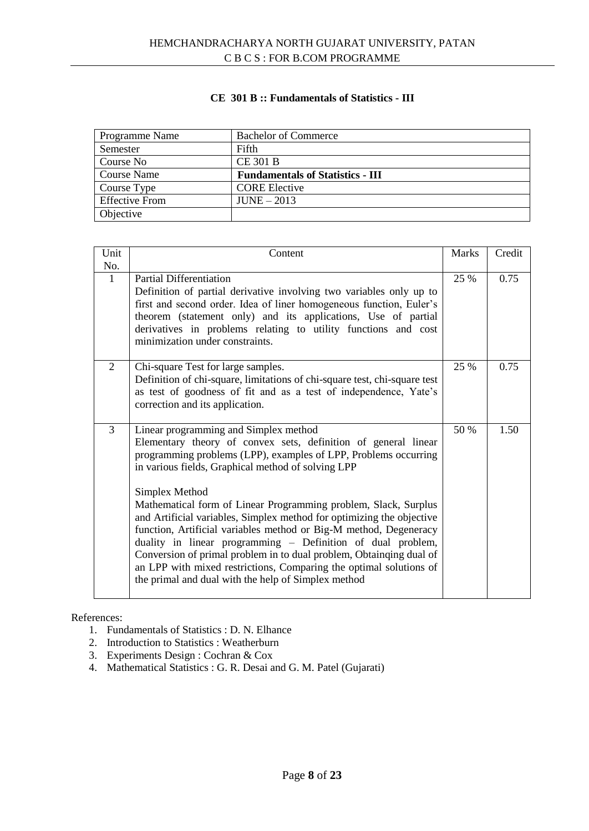# **CE 301 B :: Fundamentals of Statistics - III**

| Programme Name        | <b>Bachelor of Commerce</b>             |
|-----------------------|-----------------------------------------|
| Semester              | Fifth                                   |
| Course No             | <b>CE 301 B</b>                         |
| Course Name           | <b>Fundamentals of Statistics - III</b> |
| Course Type           | <b>CORE</b> Elective                    |
| <b>Effective From</b> | $JUNE - 2013$                           |
| Objective             |                                         |

| Unit                | Content                                                                                                                                                                                                                                                                                                                                                                                                                                                                                                                                                                                                                                                                                                                                | <b>Marks</b> | Credit |
|---------------------|----------------------------------------------------------------------------------------------------------------------------------------------------------------------------------------------------------------------------------------------------------------------------------------------------------------------------------------------------------------------------------------------------------------------------------------------------------------------------------------------------------------------------------------------------------------------------------------------------------------------------------------------------------------------------------------------------------------------------------------|--------------|--------|
| No.<br>$\mathbf{1}$ | <b>Partial Differentiation</b><br>Definition of partial derivative involving two variables only up to<br>first and second order. Idea of liner homogeneous function, Euler's<br>theorem (statement only) and its applications, Use of partial<br>derivatives in problems relating to utility functions and cost<br>minimization under constraints.                                                                                                                                                                                                                                                                                                                                                                                     | 25 %         | 0.75   |
| 2                   | Chi-square Test for large samples.<br>Definition of chi-square, limitations of chi-square test, chi-square test<br>as test of goodness of fit and as a test of independence, Yate's<br>correction and its application.                                                                                                                                                                                                                                                                                                                                                                                                                                                                                                                 | 25 %         | 0.75   |
| $\overline{3}$      | Linear programming and Simplex method<br>Elementary theory of convex sets, definition of general linear<br>programming problems (LPP), examples of LPP, Problems occurring<br>in various fields, Graphical method of solving LPP<br>Simplex Method<br>Mathematical form of Linear Programming problem, Slack, Surplus<br>and Artificial variables, Simplex method for optimizing the objective<br>function, Artificial variables method or Big-M method, Degeneracy<br>duality in linear programming - Definition of dual problem,<br>Conversion of primal problem in to dual problem, Obtainging dual of<br>an LPP with mixed restrictions, Comparing the optimal solutions of<br>the primal and dual with the help of Simplex method | 50 %         | 1.50   |

- 1. Fundamentals of Statistics : D. N. Elhance
- 2. Introduction to Statistics : Weatherburn
- 3. Experiments Design : Cochran & Cox
- 4. Mathematical Statistics : G. R. Desai and G. M. Patel (Gujarati)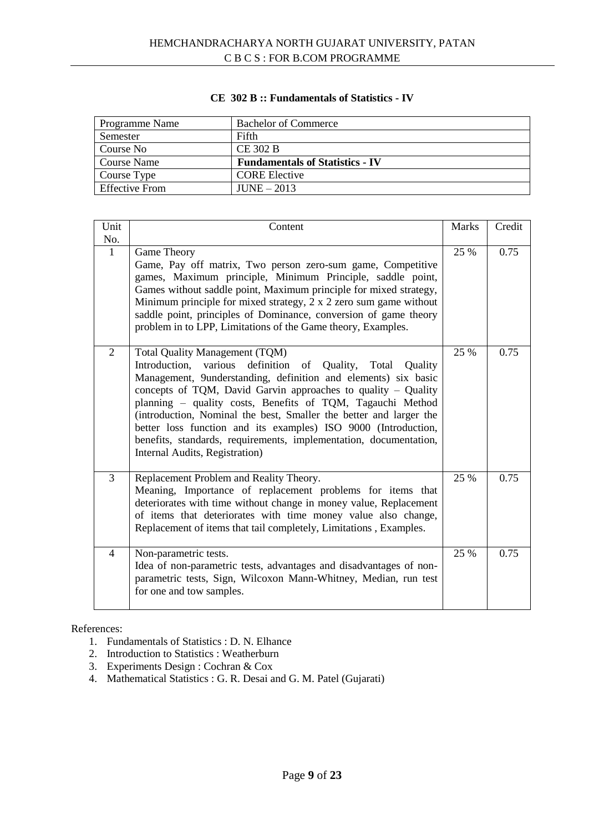| Programme Name        | <b>Bachelor of Commerce</b>            |
|-----------------------|----------------------------------------|
| Semester              | Fifth                                  |
| Course No             | <b>CE 302 B</b>                        |
| <b>Course Name</b>    | <b>Fundamentals of Statistics - IV</b> |
| Course Type           | <b>CORE Elective</b>                   |
| <b>Effective From</b> | $JUNE - 2013$                          |

#### **CE 302 B :: Fundamentals of Statistics - IV**

| Unit                | Content                                                                                                                                                                                                                                                                                                                                                                                                                                                                                                                                               | <b>Marks</b> | Credit |
|---------------------|-------------------------------------------------------------------------------------------------------------------------------------------------------------------------------------------------------------------------------------------------------------------------------------------------------------------------------------------------------------------------------------------------------------------------------------------------------------------------------------------------------------------------------------------------------|--------------|--------|
| No.<br>$\mathbf{1}$ | Game Theory<br>Game, Pay off matrix, Two person zero-sum game, Competitive<br>games, Maximum principle, Minimum Principle, saddle point,<br>Games without saddle point, Maximum principle for mixed strategy,<br>Minimum principle for mixed strategy, $2 \times 2$ zero sum game without<br>saddle point, principles of Dominance, conversion of game theory<br>problem in to LPP, Limitations of the Game theory, Examples.                                                                                                                         | 25 %         | 0.75   |
| 2                   | Total Quality Management (TQM)<br>definition of Quality, Total<br>Introduction,<br>various<br>Quality<br>Management, 9understanding, definition and elements) six basic<br>concepts of TQM, David Garvin approaches to quality - Quality<br>planning - quality costs, Benefits of TQM, Tagauchi Method<br>(introduction, Nominal the best, Smaller the better and larger the<br>better loss function and its examples) ISO 9000 (Introduction,<br>benefits, standards, requirements, implementation, documentation,<br>Internal Audits, Registration) | 25 %         | 0.75   |
| $\overline{3}$      | Replacement Problem and Reality Theory.<br>Meaning, Importance of replacement problems for items that<br>deteriorates with time without change in money value, Replacement<br>of items that deteriorates with time money value also change,<br>Replacement of items that tail completely, Limitations, Examples.                                                                                                                                                                                                                                      | 25 %         | 0.75   |
| $\overline{4}$      | Non-parametric tests.<br>Idea of non-parametric tests, advantages and disadvantages of non-<br>parametric tests, Sign, Wilcoxon Mann-Whitney, Median, run test<br>for one and tow samples.                                                                                                                                                                                                                                                                                                                                                            | 25 %         | 0.75   |

- 1. Fundamentals of Statistics : D. N. Elhance
- 2. Introduction to Statistics : Weatherburn
- 3. Experiments Design : Cochran & Cox
- 4. Mathematical Statistics : G. R. Desai and G. M. Patel (Gujarati)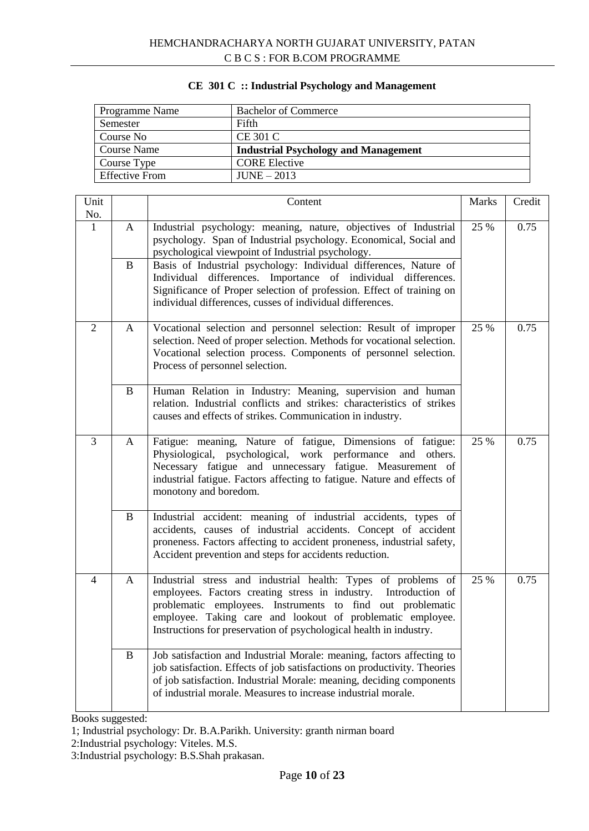| Programme Name        | <b>Bachelor of Commerce</b>                 |
|-----------------------|---------------------------------------------|
| Semester              | Fifth                                       |
| Course No             | <b>CE 301 C</b>                             |
| <b>Course Name</b>    | <b>Industrial Psychology and Management</b> |
| Course Type           | <b>CORE Elective</b>                        |
| <b>Effective From</b> | $JUNE - 2013$                               |

# **CE 301 C :: Industrial Psychology and Management**

| Unit                |              | Content                                                                                                                                                                                                                                                                                                                                                                                                                                                                | <b>Marks</b> | Credit |
|---------------------|--------------|------------------------------------------------------------------------------------------------------------------------------------------------------------------------------------------------------------------------------------------------------------------------------------------------------------------------------------------------------------------------------------------------------------------------------------------------------------------------|--------------|--------|
| No.<br>$\mathbf{1}$ | A<br>B       | Industrial psychology: meaning, nature, objectives of Industrial<br>psychology. Span of Industrial psychology. Economical, Social and<br>psychological viewpoint of Industrial psychology.<br>Basis of Industrial psychology: Individual differences, Nature of<br>Individual differences. Importance of individual differences.<br>Significance of Proper selection of profession. Effect of training on<br>individual differences, cusses of individual differences. | 25 %         | 0.75   |
| $\overline{2}$      | A            | Vocational selection and personnel selection: Result of improper<br>selection. Need of proper selection. Methods for vocational selection.<br>Vocational selection process. Components of personnel selection.<br>Process of personnel selection.                                                                                                                                                                                                                      | 25 %         | 0.75   |
|                     | $\bf{B}$     | Human Relation in Industry: Meaning, supervision and human<br>relation. Industrial conflicts and strikes: characteristics of strikes<br>causes and effects of strikes. Communication in industry.                                                                                                                                                                                                                                                                      |              |        |
| 3                   | A            | Fatigue: meaning, Nature of fatigue, Dimensions of fatigue:<br>Physiological, psychological, work performance and<br>others.<br>Necessary fatigue and unnecessary fatigue. Measurement of<br>industrial fatigue. Factors affecting to fatigue. Nature and effects of<br>monotony and boredom.                                                                                                                                                                          | 25 %         | 0.75   |
|                     | $\bf{B}$     | Industrial accident: meaning of industrial accidents, types of<br>accidents, causes of industrial accidents. Concept of accident<br>proneness. Factors affecting to accident proneness, industrial safety,<br>Accident prevention and steps for accidents reduction.                                                                                                                                                                                                   |              |        |
| 4                   | $\mathbf{A}$ | Industrial stress and industrial health: Types of problems of<br>employees. Factors creating stress in industry. Introduction of<br>problematic employees. Instruments to find out problematic<br>employee. Taking care and lookout of problematic employee.<br>Instructions for preservation of psychological health in industry.                                                                                                                                     | 25 %         | 0.75   |
|                     | B            | Job satisfaction and Industrial Morale: meaning, factors affecting to<br>job satisfaction. Effects of job satisfactions on productivity. Theories<br>of job satisfaction. Industrial Morale: meaning, deciding components<br>of industrial morale. Measures to increase industrial morale.                                                                                                                                                                             |              |        |

Books suggested:

<sup>1;</sup> Industrial psychology: Dr. B.A.Parikh. University: granth nirman board

<sup>2:</sup>Industrial psychology: Viteles. M.S.

<sup>3:</sup>Industrial psychology: B.S.Shah prakasan.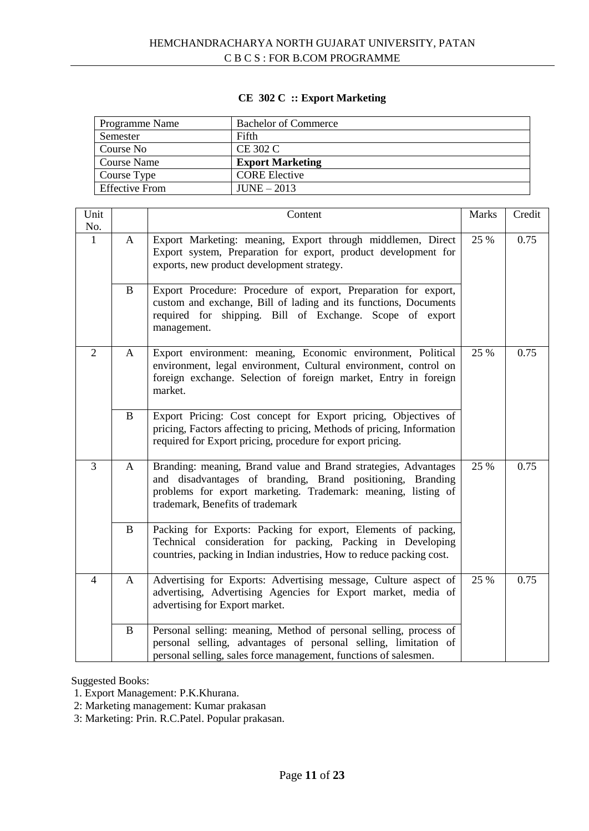# **CE 302 C :: Export Marketing**

| Programme Name        | <b>Bachelor of Commerce</b> |
|-----------------------|-----------------------------|
| Semester              | Fifth                       |
| Course No             | CE 302 C                    |
| Course Name           | <b>Export Marketing</b>     |
| Course Type           | <b>CORE Elective</b>        |
| <b>Effective From</b> | $JUNE - 2013$               |

| Unit<br>No.    |   | Content                                                                                                                                                                                                                            | Marks | Credit |
|----------------|---|------------------------------------------------------------------------------------------------------------------------------------------------------------------------------------------------------------------------------------|-------|--------|
| 1              | A | Export Marketing: meaning, Export through middlemen, Direct<br>Export system, Preparation for export, product development for<br>exports, new product development strategy.                                                        | 25 %  | 0.75   |
|                | B | Export Procedure: Procedure of export, Preparation for export,<br>custom and exchange, Bill of lading and its functions, Documents<br>required for shipping. Bill of Exchange. Scope of export<br>management.                      |       |        |
| $\overline{2}$ | A | Export environment: meaning, Economic environment, Political<br>environment, legal environment, Cultural environment, control on<br>foreign exchange. Selection of foreign market, Entry in foreign<br>market.                     | 25 %  | 0.75   |
|                | B | Export Pricing: Cost concept for Export pricing, Objectives of<br>pricing, Factors affecting to pricing, Methods of pricing, Information<br>required for Export pricing, procedure for export pricing.                             |       |        |
| 3              | A | Branding: meaning, Brand value and Brand strategies, Advantages<br>and disadvantages of branding, Brand positioning, Branding<br>problems for export marketing. Trademark: meaning, listing of<br>trademark, Benefits of trademark | 25 %  | 0.75   |
|                | B | Packing for Exports: Packing for export, Elements of packing,<br>Technical consideration for packing, Packing in Developing<br>countries, packing in Indian industries, How to reduce packing cost.                                |       |        |
| $\overline{4}$ | A | Advertising for Exports: Advertising message, Culture aspect of<br>advertising, Advertising Agencies for Export market, media of<br>advertising for Export market.                                                                 | 25 %  | 0.75   |
|                | B | Personal selling: meaning, Method of personal selling, process of<br>personal selling, advantages of personal selling, limitation of<br>personal selling, sales force management, functions of salesmen.                           |       |        |

Suggested Books:

1. Export Management: P.K.Khurana.

2: Marketing management: Kumar prakasan

3: Marketing: Prin. R.C.Patel. Popular prakasan.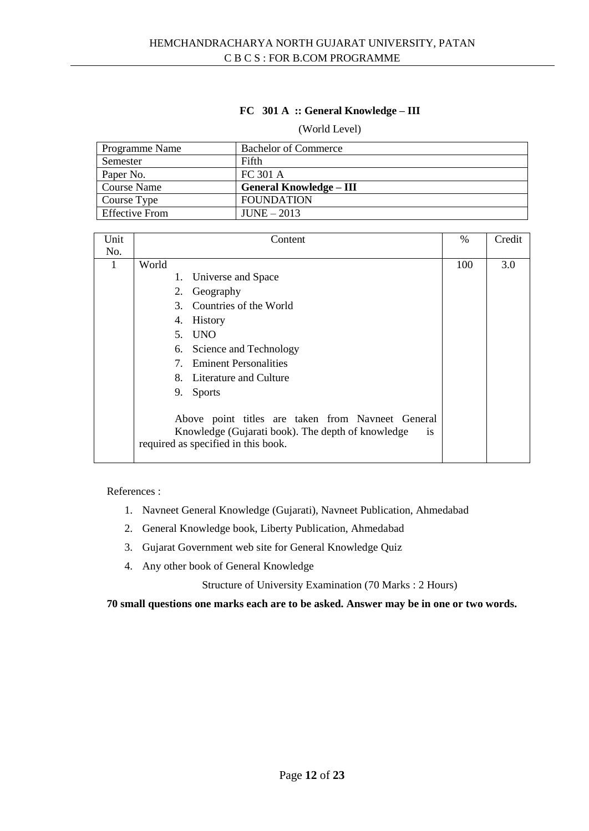# **FC 301 A :: General Knowledge – III**

#### (World Level)

| Programme Name        | <b>Bachelor of Commerce</b>    |
|-----------------------|--------------------------------|
| Semester              | Fifth                          |
| Paper No.             | FC 301 A                       |
| <b>Course Name</b>    | <b>General Knowledge – III</b> |
| Course Type           | <b>FOUNDATION</b>              |
| <b>Effective From</b> | $JUNE - 2013$                  |

| Unit | Content                                                                                                                                                    | $\%$ | Credit |
|------|------------------------------------------------------------------------------------------------------------------------------------------------------------|------|--------|
| No.  |                                                                                                                                                            |      |        |
| 1    | World                                                                                                                                                      | 100  | 3.0    |
|      | Universe and Space<br>1.                                                                                                                                   |      |        |
|      | Geography<br>2.                                                                                                                                            |      |        |
|      | Countries of the World<br>3.                                                                                                                               |      |        |
|      | <b>History</b><br>4.                                                                                                                                       |      |        |
|      | 5. UNO                                                                                                                                                     |      |        |
|      | 6. Science and Technology                                                                                                                                  |      |        |
|      | <b>Eminent Personalities</b><br>$7\degree$                                                                                                                 |      |        |
|      | 8. Literature and Culture                                                                                                                                  |      |        |
|      | 9.<br><b>Sports</b>                                                                                                                                        |      |        |
|      | Above point titles are taken from Navneet General<br>Knowledge (Gujarati book). The depth of knowledge<br><i>is</i><br>required as specified in this book. |      |        |

References :

- 1. Navneet General Knowledge (Gujarati), Navneet Publication, Ahmedabad
- 2. General Knowledge book, Liberty Publication, Ahmedabad
- 3. Gujarat Government web site for General Knowledge Quiz
- 4. Any other book of General Knowledge

Structure of University Examination (70 Marks : 2 Hours)

**70 small questions one marks each are to be asked. Answer may be in one or two words.**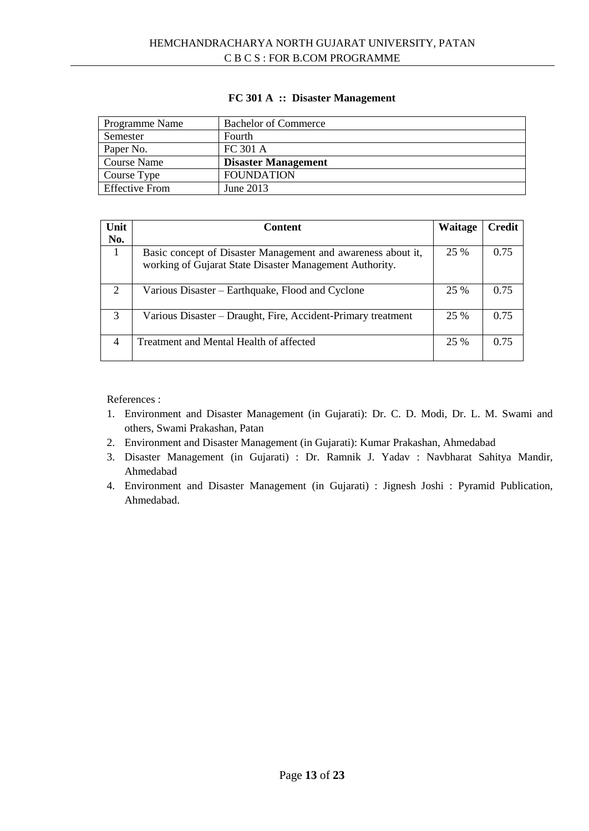# **FC 301 A :: Disaster Management**

| Programme Name        | <b>Bachelor of Commerce</b> |
|-----------------------|-----------------------------|
| Semester              | Fourth                      |
| Paper No.             | FC 301 A                    |
| <b>Course Name</b>    | <b>Disaster Management</b>  |
| Course Type           | <b>FOUNDATION</b>           |
| <b>Effective From</b> | June 2013                   |

| Unit<br>No.    | <b>Content</b>                                                                                                          | <b>Waitage</b> | Credit |
|----------------|-------------------------------------------------------------------------------------------------------------------------|----------------|--------|
|                | Basic concept of Disaster Management and awareness about it,<br>working of Gujarat State Disaster Management Authority. | 25 %           | 0.75   |
| 2              | Various Disaster – Earthquake, Flood and Cyclone                                                                        | 25 %           | 0.75   |
| 3              | Various Disaster – Draught, Fire, Accident-Primary treatment                                                            | 25 %           | 0.75   |
| $\overline{4}$ | Treatment and Mental Health of affected                                                                                 | 25 %           | 0.75   |

- 1. Environment and Disaster Management (in Gujarati): Dr. C. D. Modi, Dr. L. M. Swami and others, Swami Prakashan, Patan
- 2. Environment and Disaster Management (in Gujarati): Kumar Prakashan, Ahmedabad
- 3. Disaster Management (in Gujarati) : Dr. Ramnik J. Yadav : Navbharat Sahitya Mandir, Ahmedabad
- 4. Environment and Disaster Management (in Gujarati) : Jignesh Joshi : Pyramid Publication, Ahmedabad.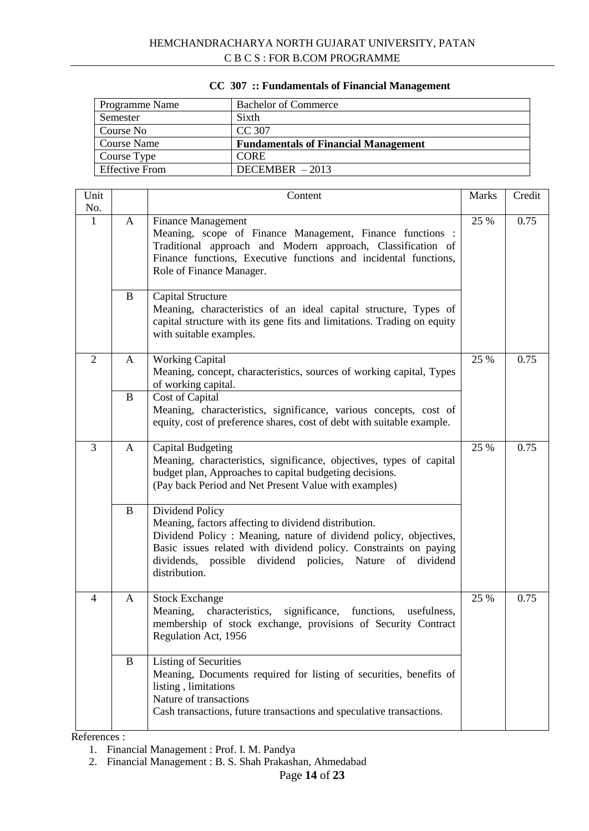| Programme Name        | <b>Bachelor of Commerce</b>                 |
|-----------------------|---------------------------------------------|
| Semester              | Sixth                                       |
| Course No             | CC 307                                      |
| <b>Course Name</b>    | <b>Fundamentals of Financial Management</b> |
| Course Type           | <b>CORE</b>                                 |
| <b>Effective From</b> | DECEMBER $-2013$                            |

# **CC 307 :: Fundamentals of Financial Management**

| Unit<br>No.    |          | Content                                                                                                                                                                                                                                                                                                | <b>Marks</b> | Credit |
|----------------|----------|--------------------------------------------------------------------------------------------------------------------------------------------------------------------------------------------------------------------------------------------------------------------------------------------------------|--------------|--------|
| 1              | A        | <b>Finance Management</b><br>Meaning, scope of Finance Management, Finance functions :<br>Traditional approach and Modern approach, Classification of<br>Finance functions, Executive functions and incidental functions,<br>Role of Finance Manager.                                                  | 25 %         | 0.75   |
|                | B        | Capital Structure<br>Meaning, characteristics of an ideal capital structure, Types of<br>capital structure with its gene fits and limitations. Trading on equity<br>with suitable examples.                                                                                                            |              |        |
| $\overline{2}$ | A        | <b>Working Capital</b><br>Meaning, concept, characteristics, sources of working capital, Types<br>of working capital.                                                                                                                                                                                  | 25 %         | 0.75   |
|                | $\bf{B}$ | Cost of Capital<br>Meaning, characteristics, significance, various concepts, cost of<br>equity, cost of preference shares, cost of debt with suitable example.                                                                                                                                         |              |        |
| 3              | A        | <b>Capital Budgeting</b><br>Meaning, characteristics, significance, objectives, types of capital<br>budget plan, Approaches to capital budgeting decisions.<br>(Pay back Period and Net Present Value with examples)                                                                                   | 25 %         | 0.75   |
|                | B        | Dividend Policy<br>Meaning, factors affecting to dividend distribution.<br>Dividend Policy: Meaning, nature of dividend policy, objectives,<br>Basic issues related with dividend policy. Constraints on paying<br>dividends, possible<br>dividend policies, Nature<br>dividend<br>of<br>distribution. |              |        |
| $\overline{4}$ | A        | <b>Stock Exchange</b><br>Meaning,<br>characteristics, significance, functions,<br>usefulness,<br>membership of stock exchange, provisions of Security Contract<br>Regulation Act, 1956                                                                                                                 | 25 %         | 0.75   |
|                | B        | <b>Listing of Securities</b><br>Meaning, Documents required for listing of securities, benefits of<br>listing, limitations<br>Nature of transactions<br>Cash transactions, future transactions and speculative transactions.                                                                           |              |        |

- 1. Financial Management : Prof. I. M. Pandya
- 2. Financial Management : B. S. Shah Prakashan, Ahmedabad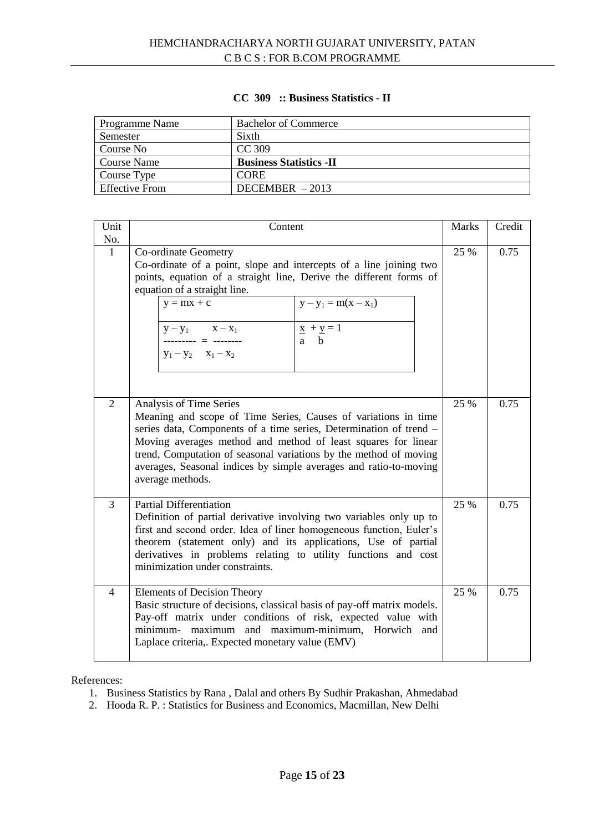# **CC 309 :: Business Statistics - II**

| Programme Name        | <b>Bachelor of Commerce</b>     |
|-----------------------|---------------------------------|
| Semester              | Sixth                           |
| Course No             | CC 309                          |
| <b>Course Name</b>    | <b>Business Statistics - II</b> |
| Course Type           | <b>CORE</b>                     |
| <b>Effective From</b> | DECEMBER $-2013$                |

| Unit           | Content                                                                                                                                                                                                                                                                                                                                                                                        |      | Credit |
|----------------|------------------------------------------------------------------------------------------------------------------------------------------------------------------------------------------------------------------------------------------------------------------------------------------------------------------------------------------------------------------------------------------------|------|--------|
| No.            |                                                                                                                                                                                                                                                                                                                                                                                                |      |        |
| $\mathbf{1}$   | Co-ordinate Geometry<br>Co-ordinate of a point, slope and intercepts of a line joining two<br>points, equation of a straight line, Derive the different forms of<br>equation of a straight line.                                                                                                                                                                                               | 25 % | 0.75   |
|                | $y - y_1 = m(x - x_1)$<br>$y = mx + c$                                                                                                                                                                                                                                                                                                                                                         |      |        |
|                | $\underline{x} + \underline{y} = 1$<br>$y - y_1$ $x - x_1$<br>------- = --------<br>a h<br>$y_1 - y_2$ $x_1 - x_2$                                                                                                                                                                                                                                                                             |      |        |
|                |                                                                                                                                                                                                                                                                                                                                                                                                |      |        |
| $\overline{2}$ | Analysis of Time Series<br>Meaning and scope of Time Series, Causes of variations in time<br>series data, Components of a time series, Determination of trend -<br>Moving averages method and method of least squares for linear<br>trend, Computation of seasonal variations by the method of moving<br>averages, Seasonal indices by simple averages and ratio-to-moving<br>average methods. | 25 % | 0.75   |
| 3              | <b>Partial Differentiation</b><br>Definition of partial derivative involving two variables only up to<br>first and second order. Idea of liner homogeneous function, Euler's<br>theorem (statement only) and its applications, Use of partial<br>derivatives in problems relating to utility functions and cost<br>minimization under constraints.                                             | 25 % | 0.75   |
| $\overline{4}$ | <b>Elements of Decision Theory</b><br>Basic structure of decisions, classical basis of pay-off matrix models.<br>Pay-off matrix under conditions of risk, expected value with<br>minimum- maximum and maximum-minimum, Horwich and<br>Laplace criteria,. Expected monetary value (EMV)                                                                                                         | 25 % | 0.75   |

- 1. Business Statistics by Rana , Dalal and others By Sudhir Prakashan, Ahmedabad
- 2. Hooda R. P. : Statistics for Business and Economics, Macmillan, New Delhi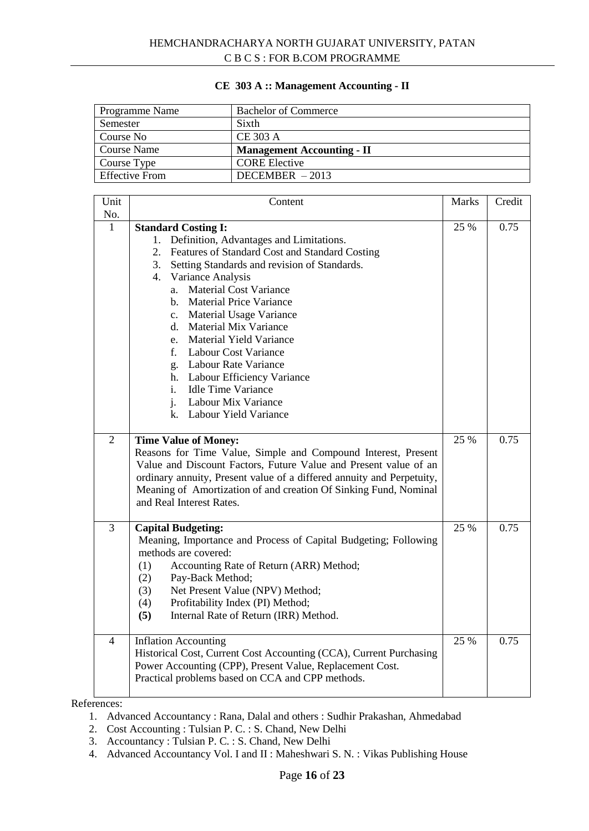#### **CE 303 A :: Management Accounting - II**

| Programme Name        | <b>Bachelor of Commerce</b>       |
|-----------------------|-----------------------------------|
| Semester              | Sixth                             |
| Course No             | <b>CE 303 A</b>                   |
| <b>Course Name</b>    | <b>Management Accounting - II</b> |
| Course Type           | <b>CORE Elective</b>              |
| <b>Effective From</b> | DECEMBER $-2013$                  |

| Unit<br>No.    | Content                                                                                                                                                                                                                                                                                                                                                                                                                                                                                                                                                                                                                           | <b>Marks</b> | Credit |
|----------------|-----------------------------------------------------------------------------------------------------------------------------------------------------------------------------------------------------------------------------------------------------------------------------------------------------------------------------------------------------------------------------------------------------------------------------------------------------------------------------------------------------------------------------------------------------------------------------------------------------------------------------------|--------------|--------|
| $\mathbf{1}$   | <b>Standard Costing I:</b><br>1. Definition, Advantages and Limitations.<br>2. Features of Standard Cost and Standard Costing<br>Setting Standards and revision of Standards.<br>3.<br>4. Variance Analysis<br><b>Material Cost Variance</b><br>a.<br><b>Material Price Variance</b><br>$h_{-}$<br>Material Usage Variance<br>$c_{\cdot}$<br><b>Material Mix Variance</b><br>d.<br>e. Material Yield Variance<br>f.<br><b>Labour Cost Variance</b><br><b>Labour Rate Variance</b><br>g.<br><b>Labour Efficiency Variance</b><br>h.<br><b>Idle Time Variance</b><br>i.<br>$i$ .<br>Labour Mix Variance<br>k. Labour Yield Variance | 25 %         | 0.75   |
| $\overline{2}$ | <b>Time Value of Money:</b><br>Reasons for Time Value, Simple and Compound Interest, Present<br>Value and Discount Factors, Future Value and Present value of an<br>ordinary annuity, Present value of a differed annuity and Perpetuity,<br>Meaning of Amortization of and creation Of Sinking Fund, Nominal<br>and Real Interest Rates.                                                                                                                                                                                                                                                                                         | 25 %         | 0.75   |
| 3              | <b>Capital Budgeting:</b><br>Meaning, Importance and Process of Capital Budgeting; Following<br>methods are covered:<br>(1)<br>Accounting Rate of Return (ARR) Method;<br>(2)<br>Pay-Back Method;<br>Net Present Value (NPV) Method;<br>(3)<br>(4)<br>Profitability Index (PI) Method;<br>(5)<br>Internal Rate of Return (IRR) Method.                                                                                                                                                                                                                                                                                            | 25 %         | 0.75   |
| $\overline{4}$ | <b>Inflation Accounting</b><br>Historical Cost, Current Cost Accounting (CCA), Current Purchasing<br>Power Accounting (CPP), Present Value, Replacement Cost.<br>Practical problems based on CCA and CPP methods.                                                                                                                                                                                                                                                                                                                                                                                                                 | 25 %         | 0.75   |

- 1. Advanced Accountancy : Rana, Dalal and others : Sudhir Prakashan, Ahmedabad
- 2. Cost Accounting : Tulsian P. C. : S. Chand, New Delhi
- 3. Accountancy : Tulsian P. C. : S. Chand, New Delhi
- 4. Advanced Accountancy Vol. I and II : Maheshwari S. N. : Vikas Publishing House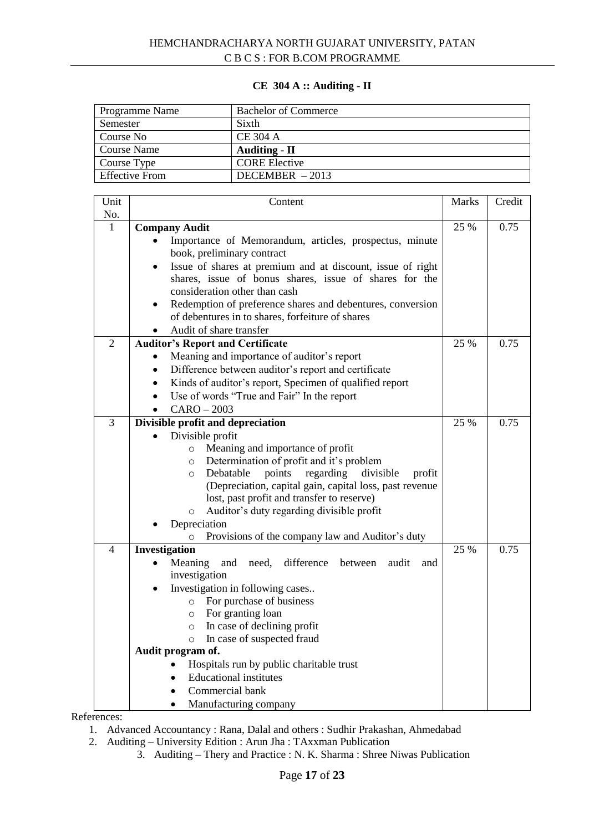# **CE 304 A :: Auditing - II**

| Programme Name | <b>Bachelor of Commerce</b> |
|----------------|-----------------------------|
| Semester       | Sixth                       |
| Course No      | <b>CE 304 A</b>             |
| Course Name    | <b>Auditing - II</b>        |
| Course Type    | <b>CORE Elective</b>        |
| Effective From | $DECEMBER - 2013$           |

| Unit           | Content                                                                              | <b>Marks</b> | Credit |
|----------------|--------------------------------------------------------------------------------------|--------------|--------|
| $\rm No.$      |                                                                                      |              |        |
| $\mathbf{1}$   | <b>Company Audit</b>                                                                 | 25 %         | 0.75   |
|                | Importance of Memorandum, articles, prospectus, minute                               |              |        |
|                | book, preliminary contract                                                           |              |        |
|                | Issue of shares at premium and at discount, issue of right<br>$\bullet$              |              |        |
|                | shares, issue of bonus shares, issue of shares for the                               |              |        |
|                | consideration other than cash                                                        |              |        |
|                | Redemption of preference shares and debentures, conversion<br>$\bullet$              |              |        |
|                | of debentures in to shares, forfeiture of shares                                     |              |        |
|                | Audit of share transfer                                                              |              |        |
| $\overline{2}$ | <b>Auditor's Report and Certificate</b>                                              | 25 %         | 0.75   |
|                | Meaning and importance of auditor's report                                           |              |        |
|                | Difference between auditor's report and certificate<br>$\bullet$                     |              |        |
|                | Kinds of auditor's report, Specimen of qualified report<br>$\bullet$                 |              |        |
|                | Use of words "True and Fair" In the report                                           |              |        |
|                | $CARO - 2003$                                                                        |              |        |
| 3              | Divisible profit and depreciation                                                    | 25 %         | 0.75   |
|                | Divisible profit                                                                     |              |        |
|                | Meaning and importance of profit<br>$\circ$                                          |              |        |
|                | Determination of profit and it's problem<br>$\circ$                                  |              |        |
|                | Debatable<br>points<br>regarding<br>divisible<br>profit<br>$\circ$                   |              |        |
|                | (Depreciation, capital gain, capital loss, past revenue                              |              |        |
|                | lost, past profit and transfer to reserve)                                           |              |        |
|                | Auditor's duty regarding divisible profit<br>$\circ$                                 |              |        |
|                | Depreciation                                                                         |              |        |
|                | Provisions of the company law and Auditor's duty<br>$\circ$                          |              |        |
| $\overline{4}$ | Investigation                                                                        | 25 %         | 0.75   |
|                | difference<br>Meaning<br>and<br>need,<br>audit<br>between<br>and                     |              |        |
|                | investigation                                                                        |              |        |
|                | Investigation in following cases<br>$\bullet$<br>For purchase of business<br>$\circ$ |              |        |
|                | For granting loan                                                                    |              |        |
|                | $\circ$<br>In case of declining profit<br>$\circ$                                    |              |        |
|                | In case of suspected fraud<br>O                                                      |              |        |
|                | Audit program of.                                                                    |              |        |
|                | Hospitals run by public charitable trust                                             |              |        |
|                | <b>Educational institutes</b>                                                        |              |        |
|                | Commercial bank                                                                      |              |        |
|                | Manufacturing company                                                                |              |        |
|                |                                                                                      |              |        |

- 1. Advanced Accountancy : Rana, Dalal and others : Sudhir Prakashan, Ahmedabad
- 2. Auditing University Edition : Arun Jha : TAxxman Publication
	- 3. Auditing Thery and Practice : N. K. Sharma : Shree Niwas Publication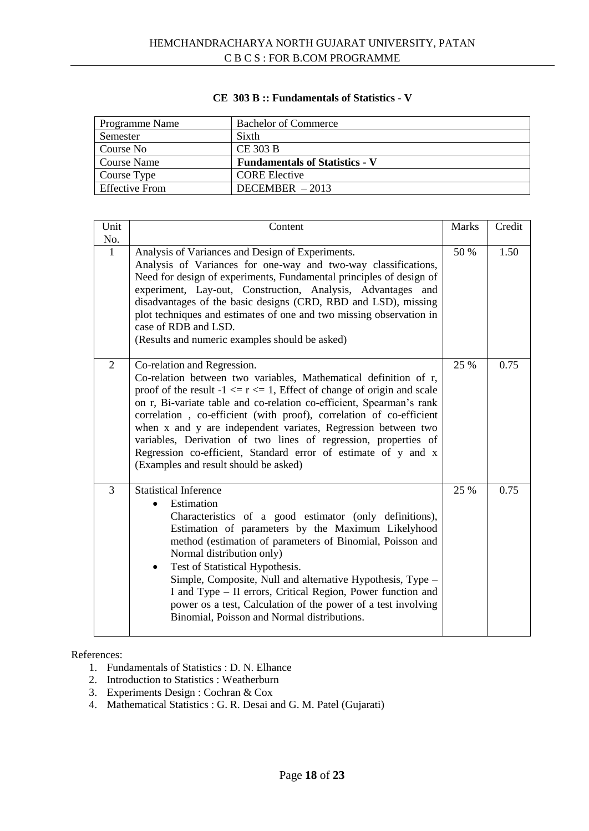## **CE 303 B :: Fundamentals of Statistics - V**

| Programme Name        | <b>Bachelor of Commerce</b>           |
|-----------------------|---------------------------------------|
| Semester              | Sixth                                 |
| Course No             | <b>CE 303 B</b>                       |
| Course Name           | <b>Fundamentals of Statistics - V</b> |
| Course Type           | <b>CORE Elective</b>                  |
| <b>Effective From</b> | $DECEMBER - 2013$                     |

| Unit           | Content                                                                                                                                                                                                                                                                                                                                                                                                                                                                                                                                                                      | <b>Marks</b> | Credit |
|----------------|------------------------------------------------------------------------------------------------------------------------------------------------------------------------------------------------------------------------------------------------------------------------------------------------------------------------------------------------------------------------------------------------------------------------------------------------------------------------------------------------------------------------------------------------------------------------------|--------------|--------|
| No.            |                                                                                                                                                                                                                                                                                                                                                                                                                                                                                                                                                                              |              |        |
| $\mathbf{1}$   | Analysis of Variances and Design of Experiments.<br>Analysis of Variances for one-way and two-way classifications,<br>Need for design of experiments, Fundamental principles of design of<br>experiment, Lay-out, Construction, Analysis, Advantages and<br>disadvantages of the basic designs (CRD, RBD and LSD), missing<br>plot techniques and estimates of one and two missing observation in<br>case of RDB and LSD.<br>(Results and numeric examples should be asked)                                                                                                  | 50 %         | 1.50   |
| $\overline{2}$ | Co-relation and Regression.<br>Co-relation between two variables, Mathematical definition of r,<br>proof of the result $-1 \le r \le 1$ , Effect of change of origin and scale<br>on r, Bi-variate table and co-relation co-efficient, Spearman's rank<br>correlation, co-efficient (with proof), correlation of co-efficient<br>when x and y are independent variates, Regression between two<br>variables, Derivation of two lines of regression, properties of<br>Regression co-efficient, Standard error of estimate of y and x<br>(Examples and result should be asked) |              | 0.75   |
| $\overline{3}$ | <b>Statistical Inference</b><br>Estimation<br>$\bullet$<br>Characteristics of a good estimator (only definitions),<br>Estimation of parameters by the Maximum Likelyhood<br>method (estimation of parameters of Binomial, Poisson and<br>Normal distribution only)<br>Test of Statistical Hypothesis.<br>$\bullet$<br>Simple, Composite, Null and alternative Hypothesis, Type -<br>I and Type - II errors, Critical Region, Power function and<br>power os a test, Calculation of the power of a test involving<br>Binomial, Poisson and Normal distributions.              | 25 %         | 0.75   |

- 1. Fundamentals of Statistics : D. N. Elhance
- 2. Introduction to Statistics : Weatherburn
- 3. Experiments Design : Cochran & Cox
- 4. Mathematical Statistics : G. R. Desai and G. M. Patel (Gujarati)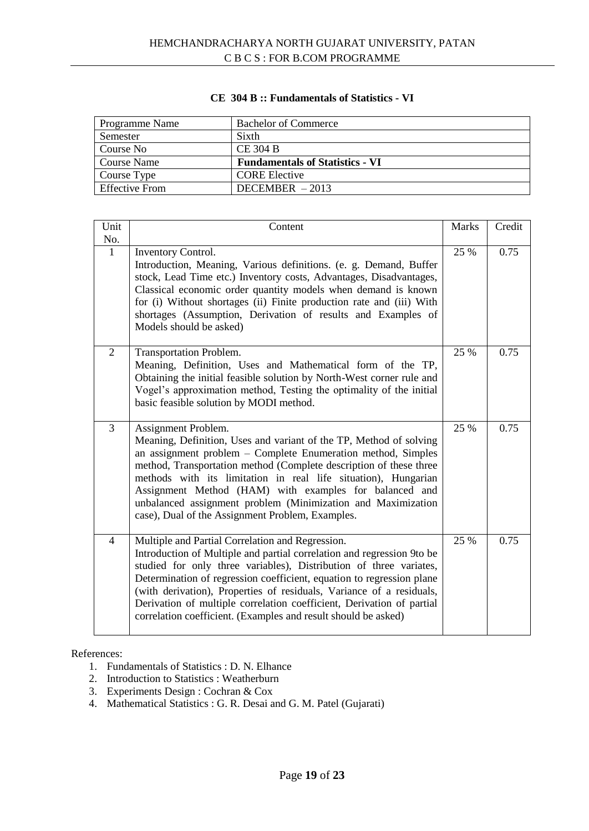## **CE 304 B :: Fundamentals of Statistics - VI**

| Programme Name        | <b>Bachelor of Commerce</b>            |
|-----------------------|----------------------------------------|
| Semester              | Sixth                                  |
| Course No             | <b>CE 304 B</b>                        |
| Course Name           | <b>Fundamentals of Statistics - VI</b> |
| Course Type           | <b>CORE</b> Elective                   |
| <b>Effective From</b> | $DECEMBER - 2013$                      |

| Unit           | Content                                                                                                                                                                                                                                                                                                                                                                                                                                                                                      | <b>Marks</b> | Credit |
|----------------|----------------------------------------------------------------------------------------------------------------------------------------------------------------------------------------------------------------------------------------------------------------------------------------------------------------------------------------------------------------------------------------------------------------------------------------------------------------------------------------------|--------------|--------|
| No.            |                                                                                                                                                                                                                                                                                                                                                                                                                                                                                              |              |        |
| $\mathbf{1}$   | Inventory Control.<br>Introduction, Meaning, Various definitions. (e. g. Demand, Buffer<br>stock, Lead Time etc.) Inventory costs, Advantages, Disadvantages,<br>Classical economic order quantity models when demand is known<br>for (i) Without shortages (ii) Finite production rate and (iii) With<br>shortages (Assumption, Derivation of results and Examples of<br>Models should be asked)                                                                                            | 25 %         | 0.75   |
| 2              | Transportation Problem.<br>Meaning, Definition, Uses and Mathematical form of the TP,<br>Obtaining the initial feasible solution by North-West corner rule and<br>Vogel's approximation method, Testing the optimality of the initial<br>basic feasible solution by MODI method.                                                                                                                                                                                                             | 25 %         | 0.75   |
| $\overline{3}$ | Assignment Problem.<br>Meaning, Definition, Uses and variant of the TP, Method of solving<br>an assignment problem - Complete Enumeration method, Simples<br>method, Transportation method (Complete description of these three<br>methods with its limitation in real life situation), Hungarian<br>Assignment Method (HAM) with examples for balanced and<br>unbalanced assignment problem (Minimization and Maximization<br>case), Dual of the Assignment Problem, Examples.              | 25 %         | 0.75   |
| $\overline{4}$ | Multiple and Partial Correlation and Regression.<br>Introduction of Multiple and partial correlation and regression 9to be<br>studied for only three variables), Distribution of three variates,<br>Determination of regression coefficient, equation to regression plane<br>(with derivation), Properties of residuals, Variance of a residuals,<br>Derivation of multiple correlation coefficient, Derivation of partial<br>correlation coefficient. (Examples and result should be asked) | 25 %         | 0.75   |

- 1. Fundamentals of Statistics : D. N. Elhance
- 2. Introduction to Statistics : Weatherburn
- 3. Experiments Design : Cochran & Cox
- 4. Mathematical Statistics : G. R. Desai and G. M. Patel (Gujarati)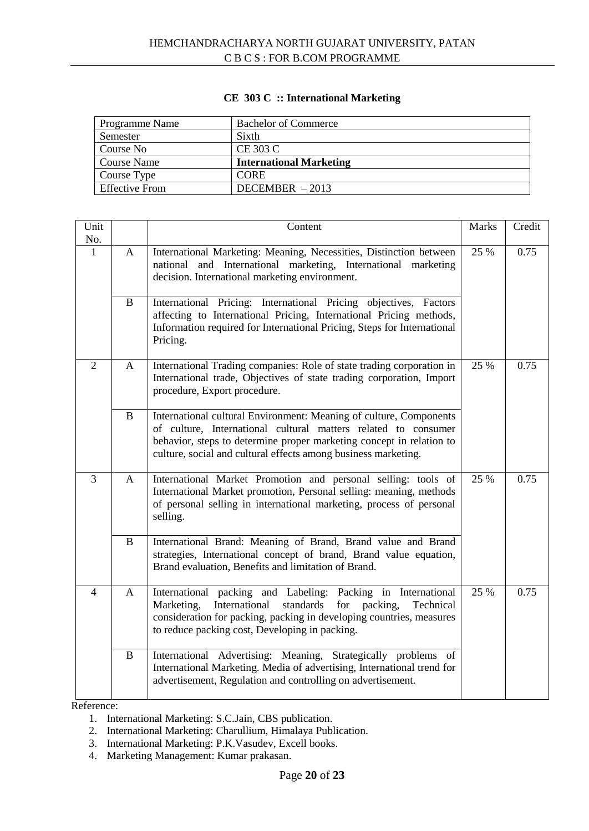# **CE 303 C :: International Marketing**

| Programme Name        | <b>Bachelor of Commerce</b>    |
|-----------------------|--------------------------------|
| Semester              | Sixth                          |
| Course No             | CE 303 C                       |
| Course Name           | <b>International Marketing</b> |
| Course Type           | <b>CORE</b>                    |
| <b>Effective From</b> | DECEMBER $-2013$               |

| Unit<br>No.    |              | Content                                                                                                                                                                                                                                                                        | <b>Marks</b> | Credit |
|----------------|--------------|--------------------------------------------------------------------------------------------------------------------------------------------------------------------------------------------------------------------------------------------------------------------------------|--------------|--------|
| 1              | A            | International Marketing: Meaning, Necessities, Distinction between<br>national and International marketing, International marketing<br>decision. International marketing environment.                                                                                          | 25 %         | 0.75   |
|                | B            | International Pricing: International Pricing objectives, Factors<br>affecting to International Pricing, International Pricing methods,<br>Information required for International Pricing, Steps for International<br>Pricing.                                                  |              |        |
| $\overline{2}$ | A            | International Trading companies: Role of state trading corporation in<br>International trade, Objectives of state trading corporation, Import<br>procedure, Export procedure.                                                                                                  | 25 %         | 0.75   |
|                | B            | International cultural Environment: Meaning of culture, Components<br>of culture, International cultural matters related to consumer<br>behavior, steps to determine proper marketing concept in relation to<br>culture, social and cultural effects among business marketing. |              |        |
| $\overline{3}$ | A            | International Market Promotion and personal selling: tools of<br>International Market promotion, Personal selling: meaning, methods<br>of personal selling in international marketing, process of personal<br>selling.                                                         | 25 %         | 0.75   |
|                | $\mathbf{B}$ | International Brand: Meaning of Brand, Brand value and Brand<br>strategies, International concept of brand, Brand value equation,<br>Brand evaluation, Benefits and limitation of Brand.                                                                                       |              |        |
| $\overline{4}$ | $\mathbf{A}$ | International packing and Labeling: Packing in International<br>Marketing,<br>International<br>standards<br>for<br>packing,<br>Technical<br>consideration for packing, packing in developing countries, measures<br>to reduce packing cost, Developing in packing.             | 25 %         | 0.75   |
|                | $\bf{B}$     | International Advertising: Meaning, Strategically problems of<br>International Marketing. Media of advertising, International trend for<br>advertisement, Regulation and controlling on advertisement.                                                                         |              |        |

- 1. International Marketing: S.C.Jain, CBS publication.
- 2. International Marketing: Charullium, Himalaya Publication.
- 3. International Marketing: P.K.Vasudev, Excell books.
- 4. Marketing Management: Kumar prakasan.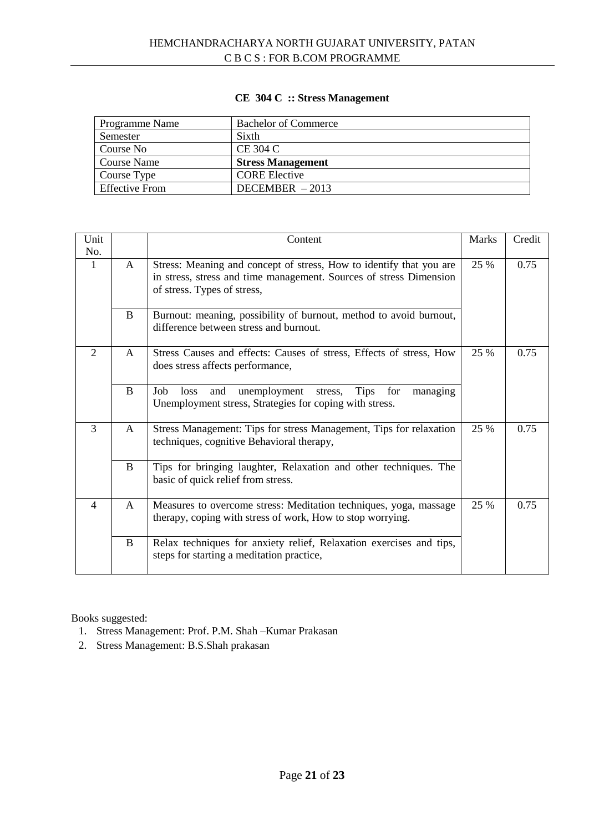# **CE 304 C :: Stress Management**

| Programme Name        | <b>Bachelor of Commerce</b> |
|-----------------------|-----------------------------|
| Semester              | Sixth                       |
| Course No             | CE 304 C                    |
| Course Name           | <b>Stress Management</b>    |
| Course Type           | <b>CORE Elective</b>        |
| <b>Effective From</b> | DECEMBER $-2013$            |

| Unit<br>No.    |              | Content                                                                                                                                                                  | <b>Marks</b> | Credit |
|----------------|--------------|--------------------------------------------------------------------------------------------------------------------------------------------------------------------------|--------------|--------|
| $\mathbf{1}$   | A            | Stress: Meaning and concept of stress, How to identify that you are<br>in stress, stress and time management. Sources of stress Dimension<br>of stress. Types of stress, | 25 %         | 0.75   |
|                | B            | Burnout: meaning, possibility of burnout, method to avoid burnout,<br>difference between stress and burnout.                                                             |              |        |
| $\overline{2}$ | $\mathsf{A}$ | Stress Causes and effects: Causes of stress, Effects of stress, How<br>does stress affects performance,                                                                  | 25 %         | 0.75   |
|                | B            | <b>Tips</b><br>Job<br>unemployment<br>for<br>loss<br>and<br>stress,<br>managing<br>Unemployment stress, Strategies for coping with stress.                               |              |        |
| 3              | $\mathsf{A}$ | Stress Management: Tips for stress Management, Tips for relaxation<br>techniques, cognitive Behavioral therapy,                                                          | 25 %         | 0.75   |
|                | B            | Tips for bringing laughter, Relaxation and other techniques. The<br>basic of quick relief from stress.                                                                   |              |        |
| $\overline{4}$ | A            | Measures to overcome stress: Meditation techniques, yoga, massage<br>therapy, coping with stress of work, How to stop worrying.                                          | 25 %         | 0.75   |
|                | B            | Relax techniques for anxiety relief, Relaxation exercises and tips,<br>steps for starting a meditation practice,                                                         |              |        |

Books suggested:

- 1. Stress Management: Prof. P.M. Shah –Kumar Prakasan
- 2. Stress Management: B.S.Shah prakasan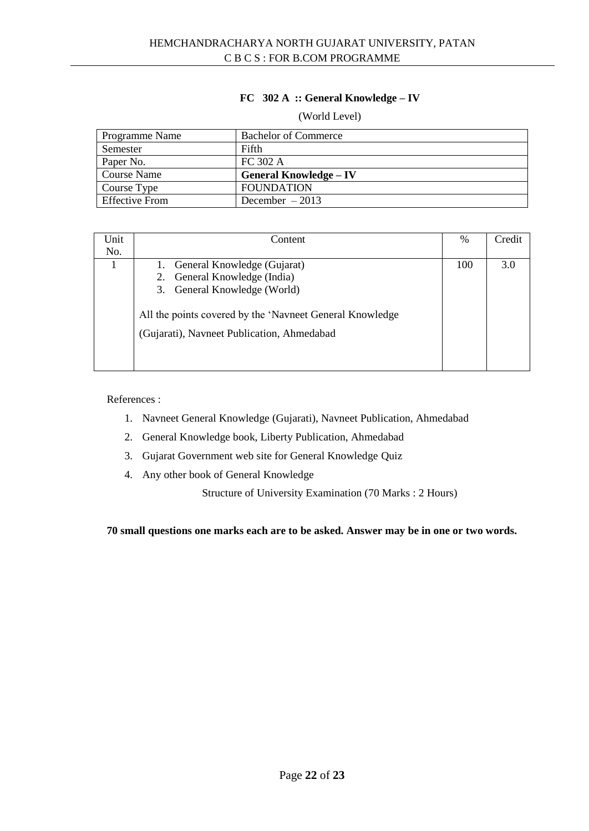# **FC 302 A :: General Knowledge – IV**

#### (World Level)

| <b>Programme Name</b> | <b>Bachelor of Commerce</b>   |
|-----------------------|-------------------------------|
| Semester              | Fifth                         |
| Paper No.             | FC 302 A                      |
| <b>Course Name</b>    | <b>General Knowledge – IV</b> |
| Course Type           | <b>FOUNDATION</b>             |
| <b>Effective From</b> | December $-2013$              |

| Unit | Content                                                                                                | $\frac{0}{0}$ | Credit |
|------|--------------------------------------------------------------------------------------------------------|---------------|--------|
| No.  |                                                                                                        |               |        |
|      | 1. General Knowledge (Gujarat)                                                                         | 100           | 3.0    |
|      | 2. General Knowledge (India)                                                                           |               |        |
|      | 3. General Knowledge (World)                                                                           |               |        |
|      | All the points covered by the 'Navneet General Knowledge<br>(Gujarati), Navneet Publication, Ahmedabad |               |        |

#### References :

- 1. Navneet General Knowledge (Gujarati), Navneet Publication, Ahmedabad
- 2. General Knowledge book, Liberty Publication, Ahmedabad
- 3. Gujarat Government web site for General Knowledge Quiz
- 4. Any other book of General Knowledge

Structure of University Examination (70 Marks : 2 Hours)

**70 small questions one marks each are to be asked. Answer may be in one or two words.**